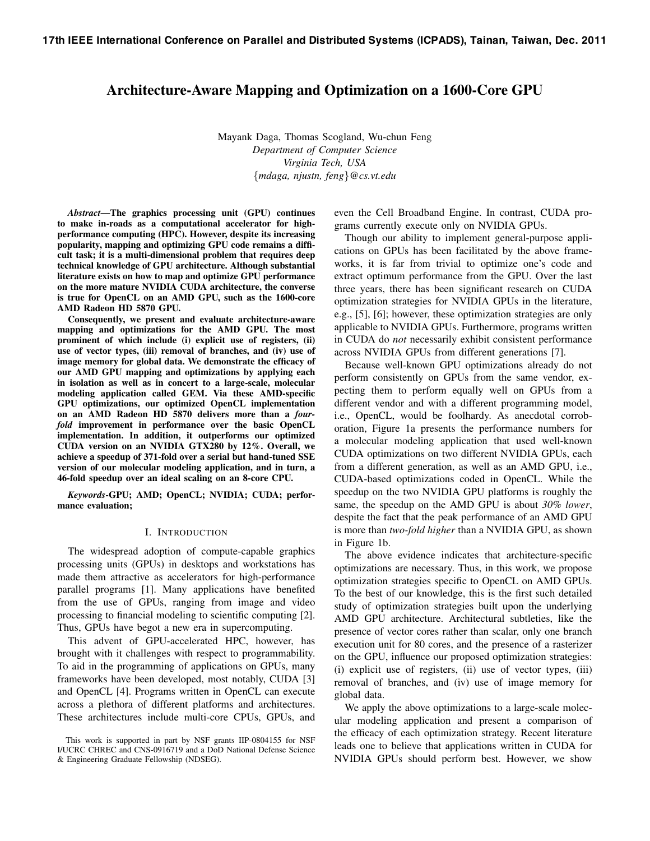# Architecture-Aware Mapping and Optimization on a 1600-Core GPU

Mayank Daga, Thomas Scogland, Wu-chun Feng *Department of Computer Science Virginia Tech, USA {mdaga, njustn, feng}@cs.vt.edu*

*Abstract*—The graphics processing unit (GPU) continues to make in-roads as a computational accelerator for highperformance computing (HPC). However, despite its increasing popularity, mapping and optimizing GPU code remains a difficult task; it is a multi-dimensional problem that requires deep technical knowledge of GPU architecture. Although substantial literature exists on how to map and optimize GPU performance on the more mature NVIDIA CUDA architecture, the converse is true for OpenCL on an AMD GPU, such as the 1600-core AMD Radeon HD 5870 GPU.

Consequently, we present and evaluate architecture-aware mapping and optimizations for the AMD GPU. The most prominent of which include (i) explicit use of registers, (ii) use of vector types, (iii) removal of branches, and (iv) use of image memory for global data. We demonstrate the efficacy of our AMD GPU mapping and optimizations by applying each in isolation as well as in concert to a large-scale, molecular modeling application called GEM. Via these AMD-specific GPU optimizations, our optimized OpenCL implementation on an AMD Radeon HD 5870 delivers more than a *fourfold* improvement in performance over the basic OpenCL implementation. In addition, it outperforms our optimized CUDA version on an NVIDIA GTX280 by 12%. Overall, we achieve a speedup of 371-fold over a serial but hand-tuned SSE version of our molecular modeling application, and in turn, a 46-fold speedup over an ideal scaling on an 8-core CPU.

*Keywords*-GPU; AMD; OpenCL; NVIDIA; CUDA; performance evaluation;

## I. INTRODUCTION

The widespread adoption of compute-capable graphics processing units (GPUs) in desktops and workstations has made them attractive as accelerators for high-performance parallel programs [1]. Many applications have benefited from the use of GPUs, ranging from image and video processing to financial modeling to scientific computing [2]. Thus, GPUs have begot a new era in supercomputing.

This advent of GPU-accelerated HPC, however, has brought with it challenges with respect to programmability. To aid in the programming of applications on GPUs, many frameworks have been developed, most notably, CUDA [3] and OpenCL [4]. Programs written in OpenCL can execute across a plethora of different platforms and architectures. These architectures include multi-core CPUs, GPUs, and even the Cell Broadband Engine. In contrast, CUDA programs currently execute only on NVIDIA GPUs.

Though our ability to implement general-purpose applications on GPUs has been facilitated by the above frameworks, it is far from trivial to optimize one's code and extract optimum performance from the GPU. Over the last three years, there has been significant research on CUDA optimization strategies for NVIDIA GPUs in the literature, e.g., [5], [6]; however, these optimization strategies are only applicable to NVIDIA GPUs. Furthermore, programs written in CUDA do *not* necessarily exhibit consistent performance across NVIDIA GPUs from different generations [7].

Because well-known GPU optimizations already do not perform consistently on GPUs from the same vendor, expecting them to perform equally well on GPUs from a different vendor and with a different programming model, i.e., OpenCL, would be foolhardy. As anecdotal corroboration, Figure 1a presents the performance numbers for a molecular modeling application that used well-known CUDA optimizations on two different NVIDIA GPUs, each from a different generation, as well as an AMD GPU, i.e., CUDA-based optimizations coded in OpenCL. While the speedup on the two NVIDIA GPU platforms is roughly the same, the speedup on the AMD GPU is about *30% lower*, despite the fact that the peak performance of an AMD GPU is more than *two-fold higher* than a NVIDIA GPU, as shown in Figure 1b.

The above evidence indicates that architecture-specific optimizations are necessary. Thus, in this work, we propose optimization strategies specific to OpenCL on AMD GPUs. To the best of our knowledge, this is the first such detailed study of optimization strategies built upon the underlying AMD GPU architecture. Architectural subtleties, like the presence of vector cores rather than scalar, only one branch execution unit for 80 cores, and the presence of a rasterizer on the GPU, influence our proposed optimization strategies: (i) explicit use of registers, (ii) use of vector types, (iii) removal of branches, and (iv) use of image memory for global data.

We apply the above optimizations to a large-scale molecular modeling application and present a comparison of the efficacy of each optimization strategy. Recent literature leads one to believe that applications written in CUDA for NVIDIA GPUs should perform best. However, we show

This work is supported in part by NSF grants IIP-0804155 for NSF I/UCRC CHREC and CNS-0916719 and a DoD National Defense Science & Engineering Graduate Fellowship (NDSEG).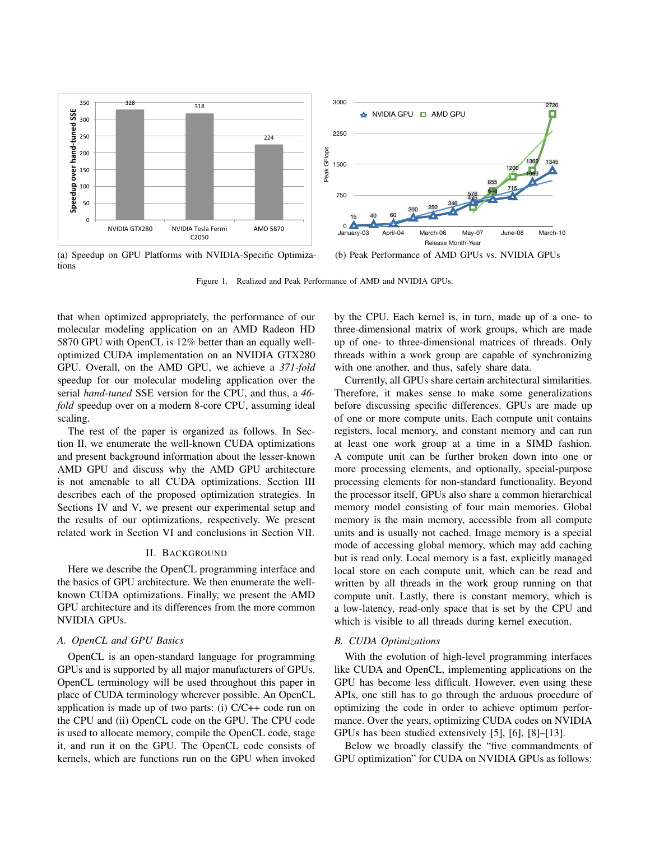

(a) Speedup on GPU Platforms with NVIDIA-Specific Optimizations



(b) Peak Performance of AMD GPUs vs. NVIDIA GPUs

Figure 1. Realized and Peak Performance of AMD and NVIDIA GPUs.

that when optimized appropriately, the performance of our molecular modeling application on an AMD Radeon HD 5870 GPU with OpenCL is 12% better than an equally welloptimized CUDA implementation on an NVIDIA GTX280 GPU. Overall, on the AMD GPU, we achieve a *371-fold* speedup for our molecular modeling application over the serial *hand-tuned* SSE version for the CPU, and thus, a *46 fold* speedup over on a modern 8-core CPU, assuming ideal scaling.

The rest of the paper is organized as follows. In Section II, we enumerate the well-known CUDA optimizations and present background information about the lesser-known AMD GPU and discuss why the AMD GPU architecture is not amenable to all CUDA optimizations. Section III describes each of the proposed optimization strategies. In Sections IV and V, we present our experimental setup and the results of our optimizations, respectively. We present related work in Section VI and conclusions in Section VII.

# II. BACKGROUND

Here we describe the OpenCL programming interface and the basics of GPU architecture. We then enumerate the wellknown CUDA optimizations. Finally, we present the AMD GPU architecture and its differences from the more common NVIDIA GPUs.

# *A. OpenCL and GPU Basics*

OpenCL is an open-standard language for programming GPUs and is supported by all major manufacturers of GPUs. OpenCL terminology will be used throughout this paper in place of CUDA terminology wherever possible. An OpenCL application is made up of two parts: (i) C/C++ code run on the CPU and (ii) OpenCL code on the GPU. The CPU code is used to allocate memory, compile the OpenCL code, stage it, and run it on the GPU. The OpenCL code consists of kernels, which are functions run on the GPU when invoked by the CPU. Each kernel is, in turn, made up of a one- to three-dimensional matrix of work groups, which are made up of one- to three-dimensional matrices of threads. Only threads within a work group are capable of synchronizing with one another, and thus, safely share data.

Currently, all GPUs share certain architectural similarities. Therefore, it makes sense to make some generalizations before discussing specific differences. GPUs are made up of one or more compute units. Each compute unit contains registers, local memory, and constant memory and can run at least one work group at a time in a SIMD fashion. A compute unit can be further broken down into one or more processing elements, and optionally, special-purpose processing elements for non-standard functionality. Beyond the processor itself, GPUs also share a common hierarchical memory model consisting of four main memories. Global memory is the main memory, accessible from all compute units and is usually not cached. Image memory is a special mode of accessing global memory, which may add caching but is read only. Local memory is a fast, explicitly managed local store on each compute unit, which can be read and written by all threads in the work group running on that compute unit. Lastly, there is constant memory, which is a low-latency, read-only space that is set by the CPU and which is visible to all threads during kernel execution.

# *B. CUDA Optimizations*

With the evolution of high-level programming interfaces like CUDA and OpenCL, implementing applications on the GPU has become less difficult. However, even using these APIs, one still has to go through the arduous procedure of optimizing the code in order to achieve optimum performance. Over the years, optimizing CUDA codes on NVIDIA GPUs has been studied extensively [5], [6], [8]–[13].

Below we broadly classify the "five commandments of GPU optimization" for CUDA on NVIDIA GPUs as follows: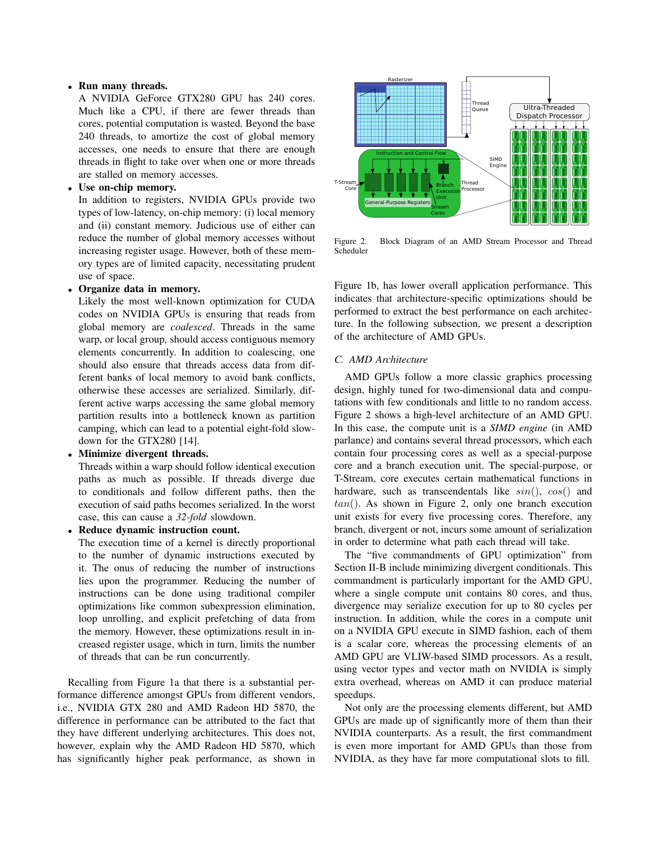# *•* Run many threads.

A NVIDIA GeForce GTX280 GPU has 240 cores. Much like a CPU, if there are fewer threads than cores, potential computation is wasted. Beyond the base 240 threads, to amortize the cost of global memory accesses, one needs to ensure that there are enough threads in flight to take over when one or more threads are stalled on memory accesses.

# *•* Use on-chip memory.

In addition to registers, NVIDIA GPUs provide two types of low-latency, on-chip memory: (i) local memory and (ii) constant memory. Judicious use of either can reduce the number of global memory accesses without increasing register usage. However, both of these memory types are of limited capacity, necessitating prudent use of space.

## *•* Organize data in memory.

Likely the most well-known optimization for CUDA codes on NVIDIA GPUs is ensuring that reads from global memory are *coalesced*. Threads in the same warp, or local group, should access contiguous memory elements concurrently. In addition to coalescing, one should also ensure that threads access data from different banks of local memory to avoid bank conflicts, otherwise these accesses are serialized. Similarly, different active warps accessing the same global memory partition results into a bottleneck known as partition camping, which can lead to a potential eight-fold slowdown for the GTX280 [14].

# *•* Minimize divergent threads.

Threads within a warp should follow identical execution paths as much as possible. If threads diverge due to conditionals and follow different paths, then the execution of said paths becomes serialized. In the worst case, this can cause a *32-fold* slowdown.

**Reduce dynamic instruction count.** 

The execution time of a kernel is directly proportional to the number of dynamic instructions executed by it. The onus of reducing the number of instructions lies upon the programmer. Reducing the number of instructions can be done using traditional compiler optimizations like common subexpression elimination, loop unrolling, and explicit prefetching of data from the memory. However, these optimizations result in increased register usage, which in turn, limits the number of threads that can be run concurrently.

Recalling from Figure 1a that there is a substantial performance difference amongst GPUs from different vendors, i.e., NVIDIA GTX 280 and AMD Radeon HD 5870, the difference in performance can be attributed to the fact that they have different underlying architectures. This does not, however, explain why the AMD Radeon HD 5870, which has significantly higher peak performance, as shown in



Figure 2. Block Diagram of an AMD Stream Processor and Thread Scheduler

Figure 1b, has lower overall application performance. This indicates that architecture-specific optimizations should be performed to extract the best performance on each architecture. In the following subsection, we present a description of the architecture of AMD GPUs.

# *C. AMD Architecture*

AMD GPUs follow a more classic graphics processing design, highly tuned for two-dimensional data and computations with few conditionals and little to no random access. Figure 2 shows a high-level architecture of an AMD GPU. In this case, the compute unit is a *SIMD engine* (in AMD parlance) and contains several thread processors, which each contain four processing cores as well as a special-purpose core and a branch execution unit. The special-purpose, or T-Stream, core executes certain mathematical functions in hardware, such as transcendentals like *sin*(), *cos*() and *tan*(). As shown in Figure 2, only one branch execution unit exists for every five processing cores. Therefore, any branch, divergent or not, incurs some amount of serialization in order to determine what path each thread will take.

The "five commandments of GPU optimization" from Section II-B include minimizing divergent conditionals. This commandment is particularly important for the AMD GPU, where a single compute unit contains 80 cores, and thus, divergence may serialize execution for up to 80 cycles per instruction. In addition, while the cores in a compute unit on a NVIDIA GPU execute in SIMD fashion, each of them is a scalar core, whereas the processing elements of an AMD GPU are VLIW-based SIMD processors. As a result, using vector types and vector math on NVIDIA is simply extra overhead, whereas on AMD it can produce material speedups.

Not only are the processing elements different, but AMD GPUs are made up of significantly more of them than their NVIDIA counterparts. As a result, the first commandment is even more important for AMD GPUs than those from NVIDIA, as they have far more computational slots to fill.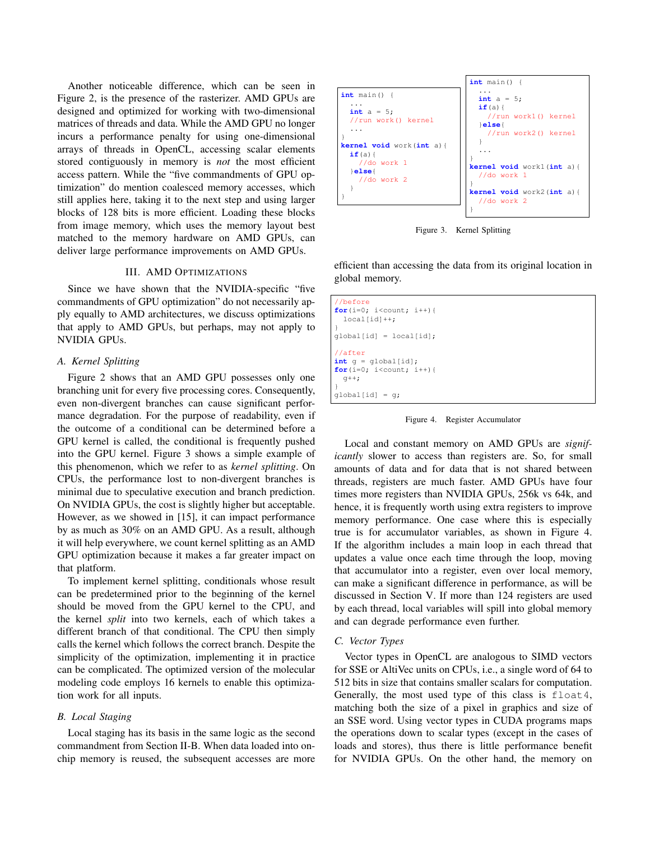Another noticeable difference, which can be seen in Figure 2, is the presence of the rasterizer. AMD GPUs are designed and optimized for working with two-dimensional matrices of threads and data. While the AMD GPU no longer incurs a performance penalty for using one-dimensional arrays of threads in OpenCL, accessing scalar elements stored contiguously in memory is *not* the most efficient access pattern. While the "five commandments of GPU optimization" do mention coalesced memory accesses, which still applies here, taking it to the next step and using larger blocks of 128 bits is more efficient. Loading these blocks from image memory, which uses the memory layout best matched to the memory hardware on AMD GPUs, can deliver large performance improvements on AMD GPUs.

#### III. AMD OPTIMIZATIONS

Since we have shown that the NVIDIA-specific "five commandments of GPU optimization" do not necessarily apply equally to AMD architectures, we discuss optimizations that apply to AMD GPUs, but perhaps, may not apply to NVIDIA GPUs.

## *A. Kernel Splitting*

Figure 2 shows that an AMD GPU possesses only one branching unit for every five processing cores. Consequently, even non-divergent branches can cause significant performance degradation. For the purpose of readability, even if the outcome of a conditional can be determined before a GPU kernel is called, the conditional is frequently pushed into the GPU kernel. Figure 3 shows a simple example of this phenomenon, which we refer to as *kernel splitting*. On CPUs, the performance lost to non-divergent branches is minimal due to speculative execution and branch prediction. On NVIDIA GPUs, the cost is slightly higher but acceptable. However, as we showed in [15], it can impact performance by as much as 30% on an AMD GPU. As a result, although it will help everywhere, we count kernel splitting as an AMD GPU optimization because it makes a far greater impact on that platform.

To implement kernel splitting, conditionals whose result can be predetermined prior to the beginning of the kernel should be moved from the GPU kernel to the CPU, and the kernel *split* into two kernels, each of which takes a different branch of that conditional. The CPU then simply calls the kernel which follows the correct branch. Despite the simplicity of the optimization, implementing it in practice can be complicated. The optimized version of the molecular modeling code employs 16 kernels to enable this optimization work for all inputs.

# *B. Local Staging*

Local staging has its basis in the same logic as the second commandment from Section II-B. When data loaded into onchip memory is reused, the subsequent accesses are more



Figure 3. Kernel Splitting

efficient than accessing the data from its original location in global memory.

```
//before
for(i=0; i<count; i++){
  local[id]++;
}
global[id] = local[id];
//after
int g = global[id];
for(i=0; i<count; i++){
  g++;
}
d\lambdaglobal[id] = \alpha;
```
Figure 4. Register Accumulator

Local and constant memory on AMD GPUs are *significantly* slower to access than registers are. So, for small amounts of data and for data that is not shared between threads, registers are much faster. AMD GPUs have four times more registers than NVIDIA GPUs, 256k vs 64k, and hence, it is frequently worth using extra registers to improve memory performance. One case where this is especially true is for accumulator variables, as shown in Figure 4. If the algorithm includes a main loop in each thread that updates a value once each time through the loop, moving that accumulator into a register, even over local memory, can make a significant difference in performance, as will be discussed in Section V. If more than 124 registers are used by each thread, local variables will spill into global memory and can degrade performance even further.

#### *C. Vector Types*

Vector types in OpenCL are analogous to SIMD vectors for SSE or AltiVec units on CPUs, i.e., a single word of 64 to 512 bits in size that contains smaller scalars for computation. Generally, the most used type of this class is float4, matching both the size of a pixel in graphics and size of an SSE word. Using vector types in CUDA programs maps the operations down to scalar types (except in the cases of loads and stores), thus there is little performance benefit for NVIDIA GPUs. On the other hand, the memory on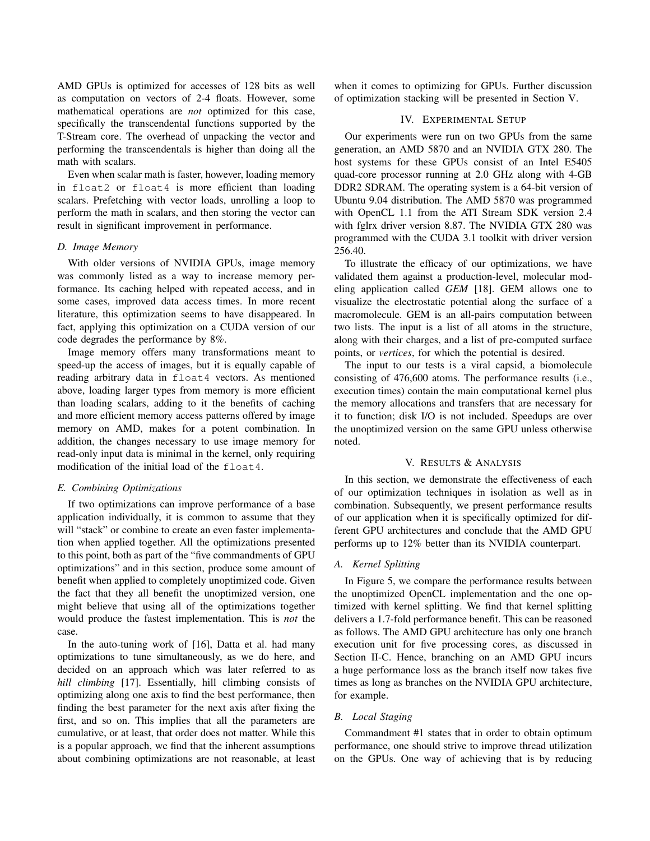AMD GPUs is optimized for accesses of 128 bits as well as computation on vectors of 2-4 floats. However, some mathematical operations are *not* optimized for this case, specifically the transcendental functions supported by the T-Stream core. The overhead of unpacking the vector and performing the transcendentals is higher than doing all the math with scalars.

Even when scalar math is faster, however, loading memory in float2 or float4 is more efficient than loading scalars. Prefetching with vector loads, unrolling a loop to perform the math in scalars, and then storing the vector can result in significant improvement in performance.

#### *D. Image Memory*

With older versions of NVIDIA GPUs, image memory was commonly listed as a way to increase memory performance. Its caching helped with repeated access, and in some cases, improved data access times. In more recent literature, this optimization seems to have disappeared. In fact, applying this optimization on a CUDA version of our code degrades the performance by 8%.

Image memory offers many transformations meant to speed-up the access of images, but it is equally capable of reading arbitrary data in float4 vectors. As mentioned above, loading larger types from memory is more efficient than loading scalars, adding to it the benefits of caching and more efficient memory access patterns offered by image memory on AMD, makes for a potent combination. In addition, the changes necessary to use image memory for read-only input data is minimal in the kernel, only requiring modification of the initial load of the float 4.

## *E. Combining Optimizations*

If two optimizations can improve performance of a base application individually, it is common to assume that they will "stack" or combine to create an even faster implementation when applied together. All the optimizations presented to this point, both as part of the "five commandments of GPU optimizations" and in this section, produce some amount of benefit when applied to completely unoptimized code. Given the fact that they all benefit the unoptimized version, one might believe that using all of the optimizations together would produce the fastest implementation. This is *not* the case.

In the auto-tuning work of [16], Datta et al. had many optimizations to tune simultaneously, as we do here, and decided on an approach which was later referred to as *hill climbing* [17]. Essentially, hill climbing consists of optimizing along one axis to find the best performance, then finding the best parameter for the next axis after fixing the first, and so on. This implies that all the parameters are cumulative, or at least, that order does not matter. While this is a popular approach, we find that the inherent assumptions about combining optimizations are not reasonable, at least when it comes to optimizing for GPUs. Further discussion of optimization stacking will be presented in Section V.

#### IV. EXPERIMENTAL SETUP

Our experiments were run on two GPUs from the same generation, an AMD 5870 and an NVIDIA GTX 280. The host systems for these GPUs consist of an Intel E5405 quad-core processor running at 2.0 GHz along with 4-GB DDR2 SDRAM. The operating system is a 64-bit version of Ubuntu 9.04 distribution. The AMD 5870 was programmed with OpenCL 1.1 from the ATI Stream SDK version 2.4 with fglrx driver version 8.87. The NVIDIA GTX 280 was programmed with the CUDA 3.1 toolkit with driver version 256.40.

To illustrate the efficacy of our optimizations, we have validated them against a production-level, molecular modeling application called *GEM* [18]. GEM allows one to visualize the electrostatic potential along the surface of a macromolecule. GEM is an all-pairs computation between two lists. The input is a list of all atoms in the structure, along with their charges, and a list of pre-computed surface points, or *vertices*, for which the potential is desired.

The input to our tests is a viral capsid, a biomolecule consisting of 476,600 atoms. The performance results (i.e., execution times) contain the main computational kernel plus the memory allocations and transfers that are necessary for it to function; disk I/O is not included. Speedups are over the unoptimized version on the same GPU unless otherwise noted.

## V. RESULTS & ANALYSIS

In this section, we demonstrate the effectiveness of each of our optimization techniques in isolation as well as in combination. Subsequently, we present performance results of our application when it is specifically optimized for different GPU architectures and conclude that the AMD GPU performs up to 12% better than its NVIDIA counterpart.

#### *A. Kernel Splitting*

In Figure 5, we compare the performance results between the unoptimized OpenCL implementation and the one optimized with kernel splitting. We find that kernel splitting delivers a 1.7-fold performance benefit. This can be reasoned as follows. The AMD GPU architecture has only one branch execution unit for five processing cores, as discussed in Section II-C. Hence, branching on an AMD GPU incurs a huge performance loss as the branch itself now takes five times as long as branches on the NVIDIA GPU architecture, for example.

## *B. Local Staging*

Commandment #1 states that in order to obtain optimum performance, one should strive to improve thread utilization on the GPUs. One way of achieving that is by reducing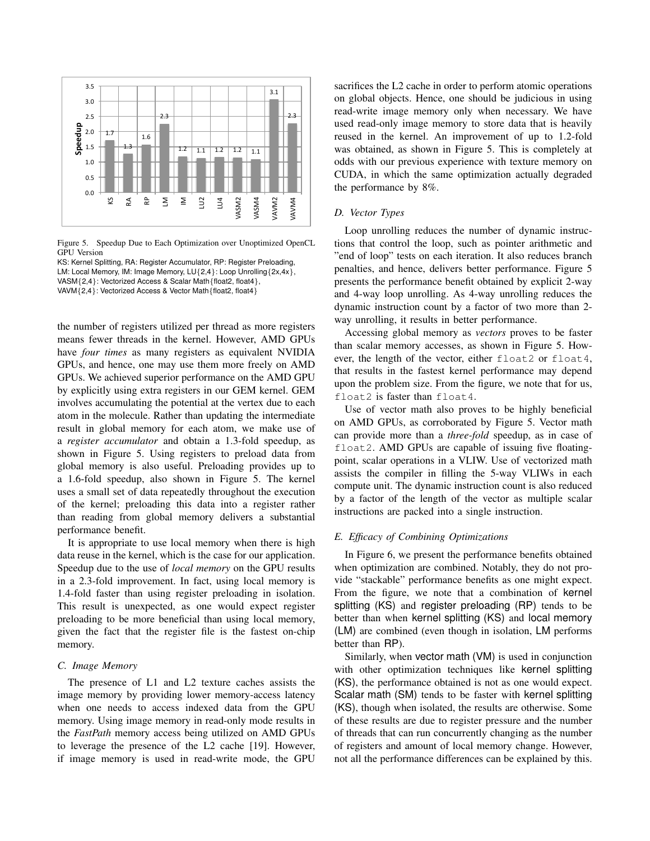

Figure 5. Speedup Due to Each Optimization over Unoptimized OpenCL GPU Version

KS: Kernel Splitting, RA: Register Accumulator, RP: Register Preloading, LM: Local Memory, IM: Image Memory, LU*{*2,4*}*: Loop Unrolling*{*2x,4x*}*, VASM*{*2,4*}*: Vectorized Access & Scalar Math*{*float2, float4*}*, VAVM*{*2,4*}*: Vectorized Access & Vector Math*{*float2, float4*}*

the number of registers utilized per thread as more registers means fewer threads in the kernel. However, AMD GPUs have *four times* as many registers as equivalent NVIDIA GPUs, and hence, one may use them more freely on AMD GPUs. We achieved superior performance on the AMD GPU by explicitly using extra registers in our GEM kernel. GEM involves accumulating the potential at the vertex due to each atom in the molecule. Rather than updating the intermediate result in global memory for each atom, we make use of a *register accumulator* and obtain a 1.3-fold speedup, as shown in Figure 5. Using registers to preload data from global memory is also useful. Preloading provides up to a 1.6-fold speedup, also shown in Figure 5. The kernel uses a small set of data repeatedly throughout the execution of the kernel; preloading this data into a register rather than reading from global memory delivers a substantial performance benefit.

It is appropriate to use local memory when there is high data reuse in the kernel, which is the case for our application. Speedup due to the use of *local memory* on the GPU results in a 2.3-fold improvement. In fact, using local memory is 1.4-fold faster than using register preloading in isolation. This result is unexpected, as one would expect register preloading to be more beneficial than using local memory, given the fact that the register file is the fastest on-chip memory.

## *C. Image Memory*

The presence of L1 and L2 texture caches assists the image memory by providing lower memory-access latency when one needs to access indexed data from the GPU memory. Using image memory in read-only mode results in the *FastPath* memory access being utilized on AMD GPUs to leverage the presence of the L2 cache [19]. However, if image memory is used in read-write mode, the GPU sacrifices the L2 cache in order to perform atomic operations on global objects. Hence, one should be judicious in using read-write image memory only when necessary. We have used read-only image memory to store data that is heavily reused in the kernel. An improvement of up to 1.2-fold was obtained, as shown in Figure 5. This is completely at odds with our previous experience with texture memory on CUDA, in which the same optimization actually degraded the performance by 8%.

#### *D. Vector Types*

Loop unrolling reduces the number of dynamic instructions that control the loop, such as pointer arithmetic and "end of loop" tests on each iteration. It also reduces branch penalties, and hence, delivers better performance. Figure 5 presents the performance benefit obtained by explicit 2-way and 4-way loop unrolling. As 4-way unrolling reduces the dynamic instruction count by a factor of two more than 2 way unrolling, it results in better performance.

Accessing global memory as *vectors* proves to be faster than scalar memory accesses, as shown in Figure 5. However, the length of the vector, either float 2 or float 4, that results in the fastest kernel performance may depend upon the problem size. From the figure, we note that for us, float2 is faster than float4.

Use of vector math also proves to be highly beneficial on AMD GPUs, as corroborated by Figure 5. Vector math can provide more than a *three-fold* speedup, as in case of float2. AMD GPUs are capable of issuing five floatingpoint, scalar operations in a VLIW. Use of vectorized math assists the compiler in filling the 5-way VLIWs in each compute unit. The dynamic instruction count is also reduced by a factor of the length of the vector as multiple scalar instructions are packed into a single instruction.

## *E. Efficacy of Combining Optimizations*

In Figure 6, we present the performance benefits obtained when optimization are combined. Notably, they do not provide "stackable" performance benefits as one might expect. From the figure, we note that a combination of kernel splitting (KS) and register preloading (RP) tends to be better than when kernel splitting (KS) and local memory (LM) are combined (even though in isolation, LM performs better than RP).

Similarly, when vector math (VM) is used in conjunction with other optimization techniques like kernel splitting (KS), the performance obtained is not as one would expect. Scalar math (SM) tends to be faster with kernel splitting (KS), though when isolated, the results are otherwise. Some of these results are due to register pressure and the number of threads that can run concurrently changing as the number of registers and amount of local memory change. However, not all the performance differences can be explained by this.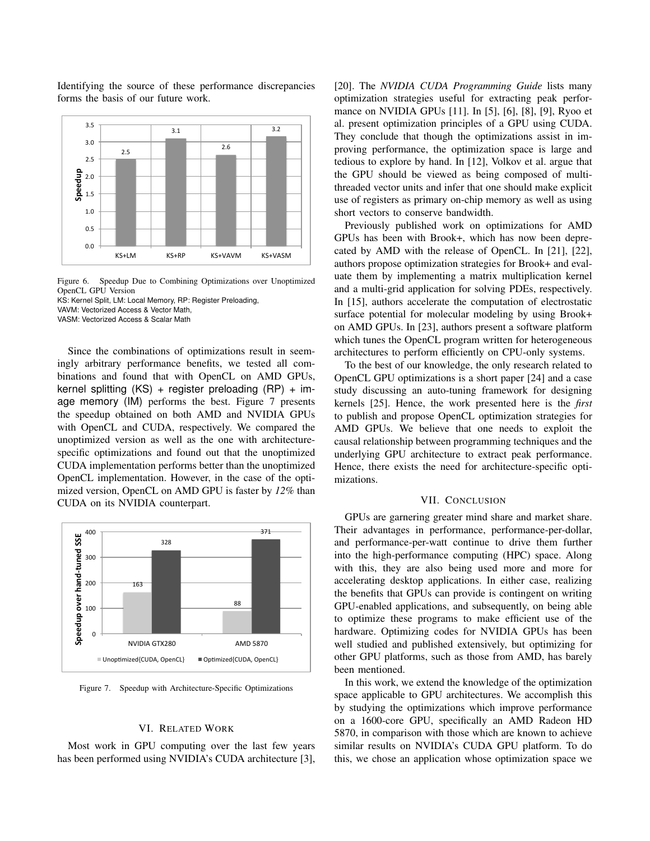Identifying the source of these performance discrepancies forms the basis of our future work.



Figure 6. Speedup Due to Combining Optimizations over Unoptimized OpenCL GPU Version

KS: Kernel Split, LM: Local Memory, RP: Register Preloading,

VAVM: Vectorized Access & Vector Math, VASM: Vectorized Access & Scalar Math

Since the combinations of optimizations result in seemingly arbitrary performance benefits, we tested all combinations and found that with OpenCL on AMD GPUs, kernel splitting  $(KS)$  + register preloading  $(RP)$  + image memory (IM) performs the best. Figure 7 presents the speedup obtained on both AMD and NVIDIA GPUs with OpenCL and CUDA, respectively. We compared the unoptimized version as well as the one with architecturespecific optimizations and found out that the unoptimized CUDA implementation performs better than the unoptimized OpenCL implementation. However, in the case of the optimized version, OpenCL on AMD GPU is faster by *12%* than CUDA on its NVIDIA counterpart.



Figure 7. Speedup with Architecture-Specific Optimizations

#### VI. RELATED WORK

Most work in GPU computing over the last few years has been performed using NVIDIA's CUDA architecture [3], [20]. The *NVIDIA CUDA Programming Guide* lists many optimization strategies useful for extracting peak performance on NVIDIA GPUs [11]. In [5], [6], [8], [9], Ryoo et al. present optimization principles of a GPU using CUDA. They conclude that though the optimizations assist in improving performance, the optimization space is large and tedious to explore by hand. In [12], Volkov et al. argue that the GPU should be viewed as being composed of multithreaded vector units and infer that one should make explicit use of registers as primary on-chip memory as well as using short vectors to conserve bandwidth.

Previously published work on optimizations for AMD GPUs has been with Brook+, which has now been deprecated by AMD with the release of OpenCL. In [21], [22], authors propose optimization strategies for Brook+ and evaluate them by implementing a matrix multiplication kernel and a multi-grid application for solving PDEs, respectively. In [15], authors accelerate the computation of electrostatic surface potential for molecular modeling by using Brook+ on AMD GPUs. In [23], authors present a software platform which tunes the OpenCL program written for heterogeneous architectures to perform efficiently on CPU-only systems.

To the best of our knowledge, the only research related to OpenCL GPU optimizations is a short paper [24] and a case study discussing an auto-tuning framework for designing kernels [25]. Hence, the work presented here is the *first* to publish and propose OpenCL optimization strategies for AMD GPUs. We believe that one needs to exploit the causal relationship between programming techniques and the underlying GPU architecture to extract peak performance. Hence, there exists the need for architecture-specific optimizations.

#### VII. CONCLUSION

GPUs are garnering greater mind share and market share. Their advantages in performance, performance-per-dollar, and performance-per-watt continue to drive them further into the high-performance computing (HPC) space. Along with this, they are also being used more and more for accelerating desktop applications. In either case, realizing the benefits that GPUs can provide is contingent on writing GPU-enabled applications, and subsequently, on being able to optimize these programs to make efficient use of the hardware. Optimizing codes for NVIDIA GPUs has been well studied and published extensively, but optimizing for other GPU platforms, such as those from AMD, has barely been mentioned.

In this work, we extend the knowledge of the optimization space applicable to GPU architectures. We accomplish this by studying the optimizations which improve performance on a 1600-core GPU, specifically an AMD Radeon HD 5870, in comparison with those which are known to achieve similar results on NVIDIA's CUDA GPU platform. To do this, we chose an application whose optimization space we